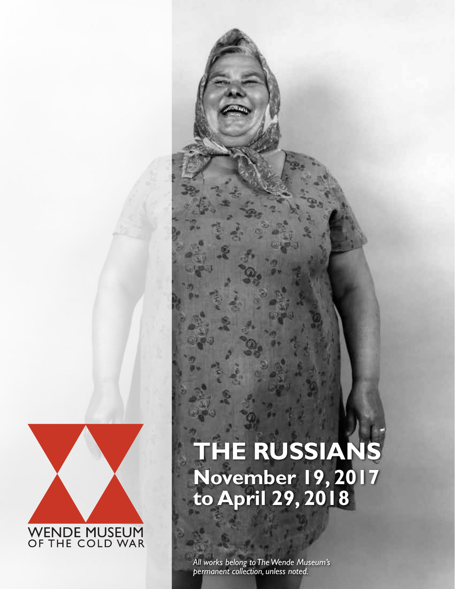

## **THE RUSSIANS November 19, 2017 to April 29, 2018**

 $\overline{C}$ *All works belong to The Wende Museum's permanent collection, unless noted.*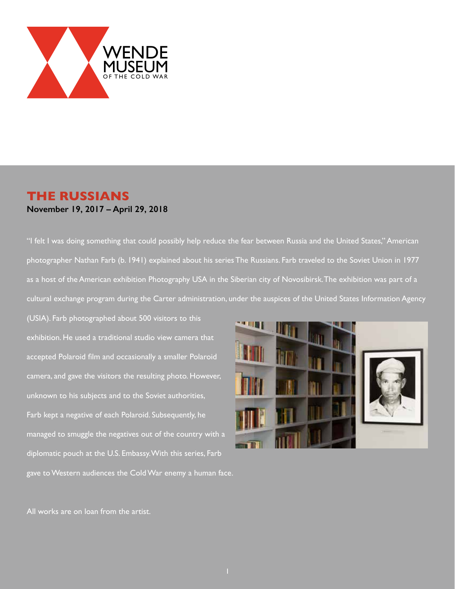

## **THE RUSSIANS November 19, 2017 – April 29, 2018**

"I felt I was doing something that could possibly help reduce the fear between Russia and the United States," American photographer Nathan Farb (b. 1941) explained about his series The Russians. Farb traveled to the Soviet Union in 1977 as a host of the American exhibition Photography USA in the Siberian city of Novosibirsk. The exhibition was part of a cultural exchange program during the Carter administration, under the auspices of the United States Information Agency

(USIA). Farb photographed about 500 visitors to this exhibition. He used a traditional studio view camera that accepted Polaroid film and occasionally a smaller Polaroid camera, and gave the visitors the resulting photo. However, unknown to his subjects and to the Soviet authorities, Farb kept a negative of each Polaroid. Subsequently, he managed to smuggle the negatives out of the country with a diplomatic pouch at the U.S. Embassy. With this series, Farb gave to Western audiences the Cold War enemy a human face.



All works are on loan from the artist.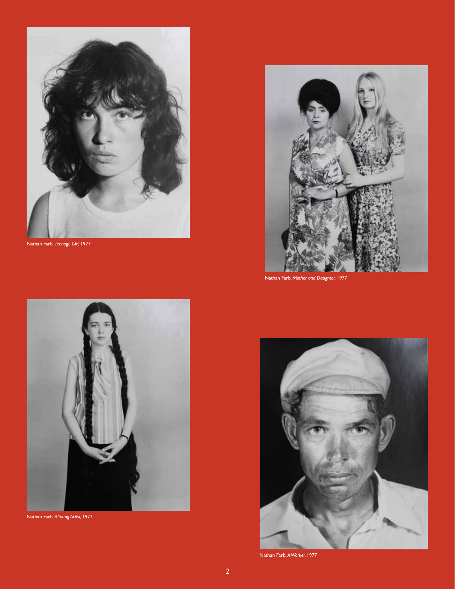

Nathan Farb, *Teenage Girl,* 1977



Nathan Farb, *A Young Artist,* 1977



Nathan Farb, *Mother and Daughter,* 1977



Nathan Farb, *A Worker,* 1977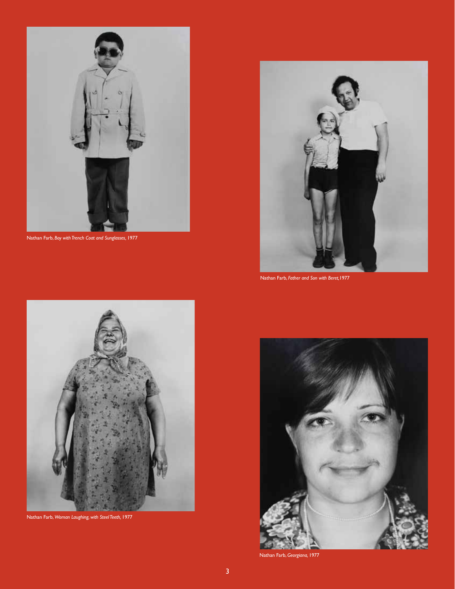

Nathan Farb, *Boy with Trench Coat and Sunglasses,* 1977



Nathan Farb, *Woman Laughing, with Steel Teeth,* 1977



Nathan Farb, *Father and Son with Beret,*1977



Nathan Farb, *Georgiana,* 1977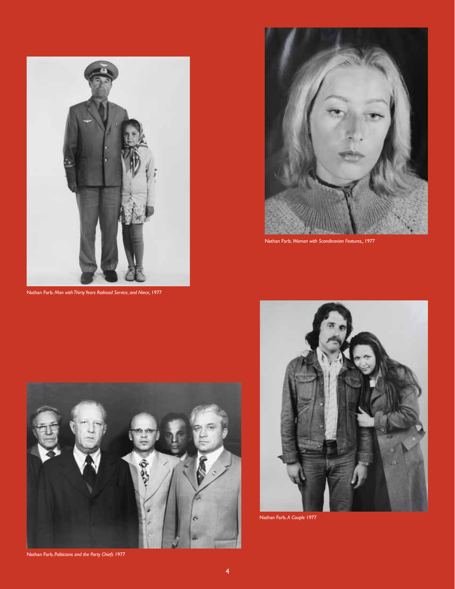

Nathan Farb, *Man with Thirty Years Railroad Service, and Niece,* 1977



Nathan Farb, *Woman with Scandinavian Features,,* 1977



Nathan Farb, *Politicians and the Party Chiefs* 1977



Nathan Farb, *A Couple* 1977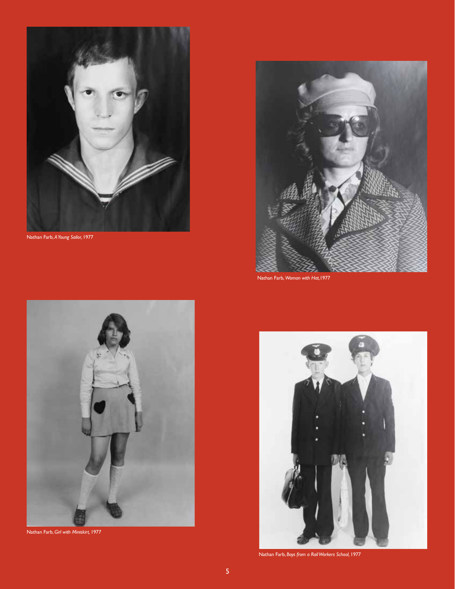

Nathan Farb, *A Young Sailor,* 1977



Nathan Farb, *Girl with Miniskirt,* 1977



Nathan Farb, *Woman with Hat,*1977



Nathan Farb, *Boys from a Rail Workers School,* 1977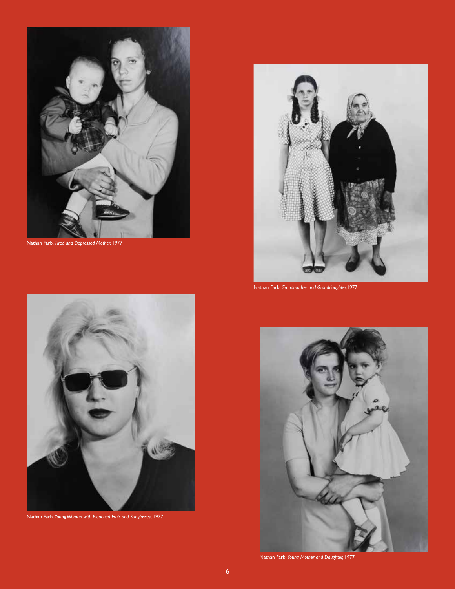

Nathan Farb, *Tired and Depressed Mother,* 1977



Nathan Farb, *Young Woman with Bleached Hair and Sunglasses,* 1977



Nathan Farb, *Grandmother and Granddaughter,*1977



Nathan Farb, *Young Mother and Daughter,* 1977